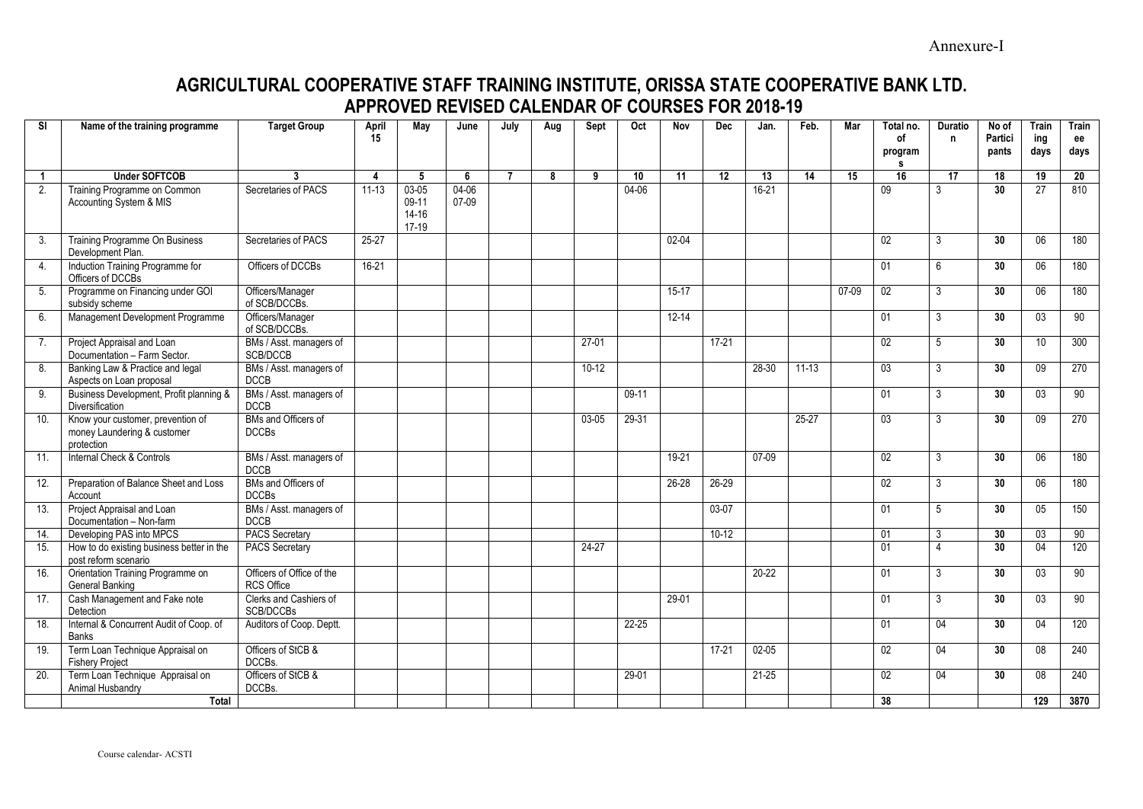## **AGRICULTURAL COOPERATIVE STAFF TRAINING INSTITUTE, ORISSA STATE COOPERATIVE BANK LTD. APPROVED REVISED CALENDAR OF COURSES FOR 2018-19**

| <b>SI</b>    | Name of the training programme                                                 | <b>Target Group</b>                            | April<br>15 | May                                        | June           | July           | Aug | Sept    | Oct       | Nov       | <b>Dec</b>      | Jan.      | Feb.      | Mar     | Total no.<br>of<br>program<br>s | <b>Duratio</b><br>n | No of<br>Partici<br>pants | <b>Train</b><br>ing<br>days | <b>Train</b><br>ee<br>days |
|--------------|--------------------------------------------------------------------------------|------------------------------------------------|-------------|--------------------------------------------|----------------|----------------|-----|---------|-----------|-----------|-----------------|-----------|-----------|---------|---------------------------------|---------------------|---------------------------|-----------------------------|----------------------------|
| $\mathbf{1}$ | <b>Under SOFTCOB</b>                                                           | $\mathbf{3}$                                   | 4           | 5                                          | 6              | $\overline{7}$ | 8   | 9       | 10        | 11        | $\overline{12}$ | 13        | 14        | 15      | 16                              | 17                  | 18                        | 19                          | 20                         |
| 2.           | Training Programme on Common<br>Accounting System & MIS                        | Secretaries of PACS                            | $11-13$     | $03 - 05$<br>$09-11$<br>$14 - 16$<br>17-19 | 04-06<br>07-09 |                |     |         | $04 - 06$ |           |                 | $16-21$   |           |         | $\overline{09}$                 | 3                   | $\overline{30}$           | 27                          | 810                        |
| 3.           | Training Programme On Business<br>Development Plan.                            | Secretaries of PACS                            | $25 - 27$   |                                            |                |                |     |         |           | $02 - 04$ |                 |           |           |         | 02                              | 3                   | 30 <sup>°</sup>           | 06                          | 180                        |
| 4.           | Induction Training Programme for<br>Officers of DCCBs                          | Officers of DCCBs                              | $16-21$     |                                            |                |                |     |         |           |           |                 |           |           |         | 01                              | 6                   | 30                        | 06                          | 180                        |
| 5.           | Programme on Financing under GOI<br>subsidy scheme                             | Officers/Manager<br>of SCB/DCCBs.              |             |                                            |                |                |     |         |           | $15-17$   |                 |           |           | $07-09$ | $\overline{02}$                 | 3                   | 30                        | 06                          | 180                        |
| 6.           | Management Development Programme                                               | Officers/Manager<br>of SCB/DCCBs.              |             |                                            |                |                |     |         |           | $12 - 14$ |                 |           |           |         | 01                              | 3                   | 30 <sup>°</sup>           | 03                          | 90                         |
| 7.           | Project Appraisal and Loan<br>Documentation - Farm Sector.                     | BMs / Asst. managers of<br>SCB/DCCB            |             |                                            |                |                |     | $27-01$ |           |           | $17-21$         |           |           |         | 02                              | 5                   | 30                        | 10 <sup>°</sup>             | 300                        |
| 8.           | Banking Law & Practice and legal<br>Aspects on Loan proposal                   | BMs / Asst. managers of<br><b>DCCB</b>         |             |                                            |                |                |     | $10-12$ |           |           |                 | 28-30     | $11 - 13$ |         | $\overline{03}$                 | 3                   | 30 <sup>°</sup>           | 09                          | 270                        |
| 9.           | Business Development, Profit planning &<br><b>Diversification</b>              | BMs / Asst. managers of<br><b>DCCB</b>         |             |                                            |                |                |     |         | $09-11$   |           |                 |           |           |         | 01                              | 3                   | $\overline{30}$           | 03                          | 90                         |
| 10.          | Know your customer, prevention of<br>money Laundering & customer<br>protection | BMs and Officers of<br><b>DCCBs</b>            |             |                                            |                |                |     | 03-05   | 29-31     |           |                 |           | 25-27     |         | $\overline{03}$                 | 3                   | 30 <sup>°</sup>           | 09                          | 270                        |
| 11.          | Internal Check & Controls                                                      | BMs / Asst. managers of<br><b>DCCB</b>         |             |                                            |                |                |     |         |           | 19-21     |                 | 07-09     |           |         | 02                              | 3                   | 30 <sup>°</sup>           | 06                          | 180                        |
| 12.          | Preparation of Balance Sheet and Loss<br>Account                               | BMs and Officers of<br><b>DCCBs</b>            |             |                                            |                |                |     |         |           | 26-28     | 26-29           |           |           |         | 02                              | 3                   | 30                        | 06                          | 180                        |
| 13.          | Project Appraisal and Loan<br>Documentation - Non-farm                         | BMs / Asst. managers of<br><b>DCCB</b>         |             |                                            |                |                |     |         |           |           | $03-07$         |           |           |         | 01                              | 5                   | 30 <sup>°</sup>           | 05                          | 150                        |
| 14.          | Developing PAS into MPCS                                                       | <b>PACS Secretary</b>                          |             |                                            |                |                |     |         |           |           | $10-12$         |           |           |         | $\overline{01}$                 | 3                   | 30                        | 03                          | 90                         |
| 15.          | How to do existing business better in the<br>post reform scenario              | <b>PACS Secretary</b>                          |             |                                            |                |                |     | $24-27$ |           |           |                 |           |           |         | 01                              | $\overline{4}$      | 30 <sup>°</sup>           | 04                          | 120                        |
| 16.          | Orientation Training Programme on<br>General Banking                           | Officers of Office of the<br><b>RCS Office</b> |             |                                            |                |                |     |         |           |           |                 | $20-22$   |           |         | 01                              | 3                   | 30 <sup>°</sup>           | 03                          | 90                         |
| 17.          | Cash Management and Fake note<br>Detection                                     | Clerks and Cashiers of<br>SCB/DCCBs            |             |                                            |                |                |     |         |           | $29-01$   |                 |           |           |         | 01                              | 3                   | 30 <sup>°</sup>           | 03                          | 90                         |
| 18.          | Internal & Concurrent Audit of Coop. of<br><b>Banks</b>                        | Auditors of Coop. Deptt.                       |             |                                            |                |                |     |         | 22-25     |           |                 |           |           |         | 01                              | 04                  | 30                        | 04                          | 120                        |
| 19.          | Term Loan Technique Appraisal on<br><b>Fishery Project</b>                     | Officers of StCB &<br>DCCBs.                   |             |                                            |                |                |     |         |           |           | $17-21$         | $02 - 05$ |           |         | 02                              | 04                  | 30 <sup>°</sup>           | 08                          | 240                        |
| 20.          | Term Loan Technique Appraisal on<br>Animal Husbandry                           | Officers of StCB &<br>DCCBs.                   |             |                                            |                |                |     |         | 29-01     |           |                 | $21 - 25$ |           |         | 02                              | 04                  | 30 <sup>°</sup>           | 08                          | 240                        |
|              | Total                                                                          |                                                |             |                                            |                |                |     |         |           |           |                 |           |           |         | 38                              |                     |                           | 129                         | 3870                       |